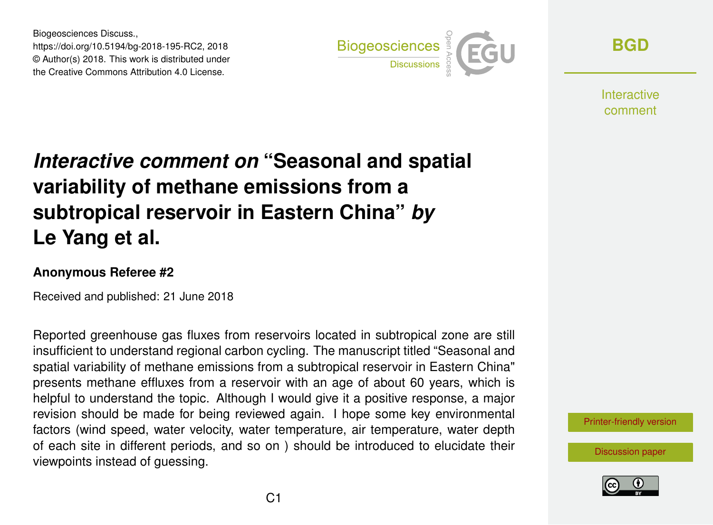Biogeosciences Discuss., https://doi.org/10.5194/bg-2018-195-RC2, 2018 © Author(s) 2018. This work is distributed under the Creative Commons Attribution 4.0 License.



**[BGD](https://www.biogeosciences-discuss.net/)**

**Interactive** comment

## *Interactive comment on* **"Seasonal and spatial variability of methane emissions from a subtropical reservoir in Eastern China"** *by* **Le Yang et al.**

## **Anonymous Referee #2**

Received and published: 21 June 2018

Reported greenhouse gas fluxes from reservoirs located in subtropical zone are still insufficient to understand regional carbon cycling. The manuscript titled "Seasonal and spatial variability of methane emissions from a subtropical reservoir in Eastern China" presents methane effluxes from a reservoir with an age of about 60 years, which is helpful to understand the topic. Although I would give it a positive response, a major revision should be made for being reviewed again. I hope some key environmental factors (wind speed, water velocity, water temperature, air temperature, water depth of each site in different periods, and so on ) should be introduced to elucidate their viewpoints instead of guessing.



[Discussion paper](https://www.biogeosciences-discuss.net/bg-2018-195)

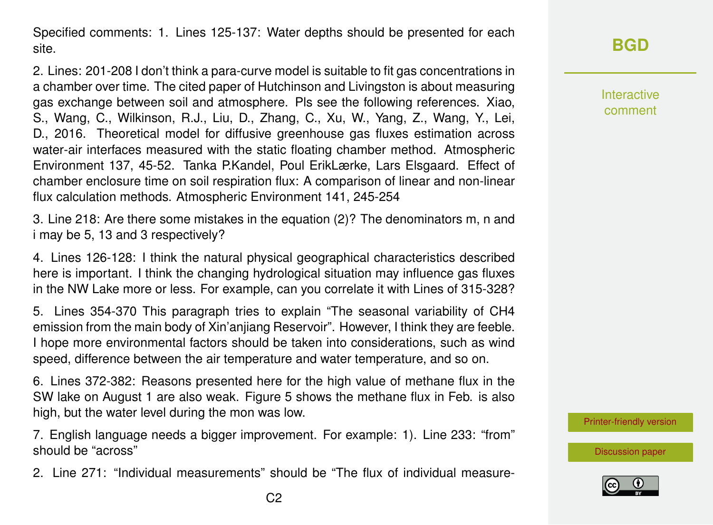Specified comments: 1. Lines 125-137: Water depths should be presented for each site.

2. Lines: 201-208 I don't think a para-curve model is suitable to fit gas concentrations in a chamber over time. The cited paper of Hutchinson and Livingston is about measuring gas exchange between soil and atmosphere. Pls see the following references. Xiao, S., Wang, C., Wilkinson, R.J., Liu, D., Zhang, C., Xu, W., Yang, Z., Wang, Y., Lei, D., 2016. Theoretical model for diffusive greenhouse gas fluxes estimation across water-air interfaces measured with the static floating chamber method. Atmospheric Environment 137, 45-52. Tanka P.Kandel, Poul ErikLærke, Lars Elsgaard. Effect of chamber enclosure time on soil respiration flux: A comparison of linear and non-linear flux calculation methods. Atmospheric Environment 141, 245-254

3. Line 218: Are there some mistakes in the equation (2)? The denominators m, n and i may be 5, 13 and 3 respectively?

4. Lines 126-128: I think the natural physical geographical characteristics described here is important. I think the changing hydrological situation may influence gas fluxes in the NW Lake more or less. For example, can you correlate it with Lines of 315-328?

5. Lines 354-370 This paragraph tries to explain "The seasonal variability of CH4 emission from the main body of Xin'anjiang Reservoir". However, I think they are feeble. I hope more environmental factors should be taken into considerations, such as wind speed, difference between the air temperature and water temperature, and so on.

6. Lines 372-382: Reasons presented here for the high value of methane flux in the SW lake on August 1 are also weak. Figure 5 shows the methane flux in Feb. is also high, but the water level during the mon was low.

7. English language needs a bigger improvement. For example: 1). Line 233: "from" should be "across"

2. Line 271: "Individual measurements" should be "The flux of individual measure-

Interactive comment

[Printer-friendly version](https://www.biogeosciences-discuss.net/bg-2018-195/bg-2018-195-RC2-print.pdf)

[Discussion paper](https://www.biogeosciences-discuss.net/bg-2018-195)